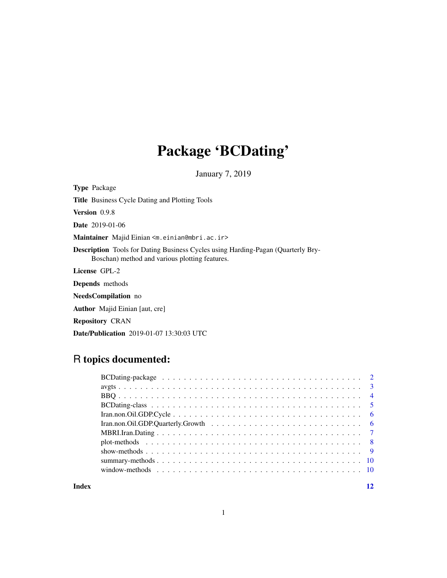# Package 'BCDating'

January 7, 2019

<span id="page-0-0"></span>Type Package

Title Business Cycle Dating and Plotting Tools

Version 0.9.8

Date 2019-01-06

Maintainer Majid Einian <m.einian@mbri.ac.ir>

Description Tools for Dating Business Cycles using Harding-Pagan (Quarterly Bry-Boschan) method and various plotting features.

License GPL-2

Depends methods

NeedsCompilation no

Author Majid Einian [aut, cre]

Repository CRAN

Date/Publication 2019-01-07 13:30:03 UTC

# R topics documented:

**Index** [12](#page-11-0)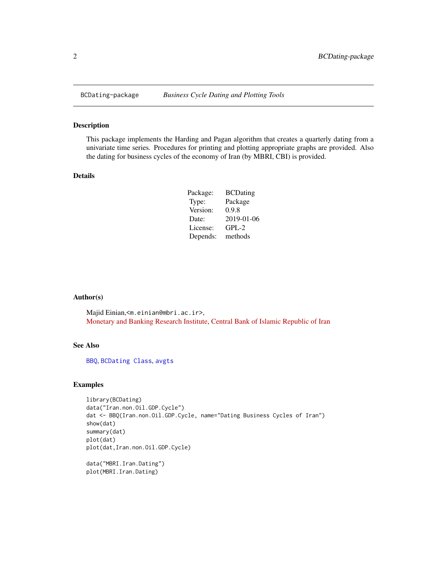#### Description

This package implements the Harding and Pagan algorithm that creates a quarterly dating from a univariate time series. Procedures for printing and plotting appropriate graphs are provided. Also the dating for business cycles of the economy of Iran (by MBRI, CBI) is provided.

#### Details

| Package: | <b>BCDating</b> |
|----------|-----------------|
| Type:    | Package         |
| Version: | 0.9.8           |
| Date:    | 2019-01-06      |
| License: | $GPL-2$         |
| Depends: | methods         |

#### Author(s)

Majid Einian,<m.einian@mbri.ac.ir>, [Monetary and Banking Research Institute,](http://www.mbri.ac.ir) [Central Bank of Islamic Republic of Iran](http://www.cbi.ir)

# See Also

[BBQ](#page-3-1), [BCDating Class](#page-0-0), [avgts](#page-2-1)

#### Examples

```
library(BCDating)
data("Iran.non.Oil.GDP.Cycle")
dat <- BBQ(Iran.non.Oil.GDP.Cycle, name="Dating Business Cycles of Iran")
show(dat)
summary(dat)
plot(dat)
plot(dat,Iran.non.Oil.GDP.Cycle)
```

```
data("MBRI.Iran.Dating")
plot(MBRI.Iran.Dating)
```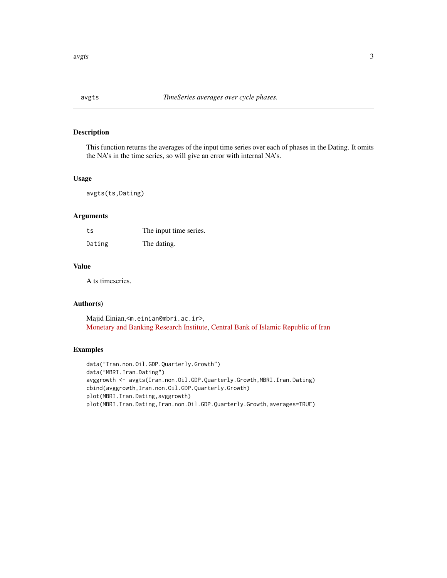<span id="page-2-1"></span><span id="page-2-0"></span>

# Description

This function returns the averages of the input time series over each of phases in the Dating. It omits the NA's in the time series, so will give an error with internal NA's.

#### Usage

avgts(ts,Dating)

#### Arguments

| ts     | The input time series. |
|--------|------------------------|
| Dating | The dating.            |

#### Value

A ts timeseries.

# Author(s)

Majid Einian,<m.einian@mbri.ac.ir>, [Monetary and Banking Research Institute,](http://www.mbri.ac.ir) [Central Bank of Islamic Republic of Iran](https://www.cbi.ir/)

#### Examples

```
data("Iran.non.Oil.GDP.Quarterly.Growth")
data("MBRI.Iran.Dating")
avggrowth <- avgts(Iran.non.Oil.GDP.Quarterly.Growth,MBRI.Iran.Dating)
cbind(avggrowth,Iran.non.Oil.GDP.Quarterly.Growth)
plot(MBRI.Iran.Dating,avggrowth)
plot(MBRI.Iran.Dating,Iran.non.Oil.GDP.Quarterly.Growth,averages=TRUE)
```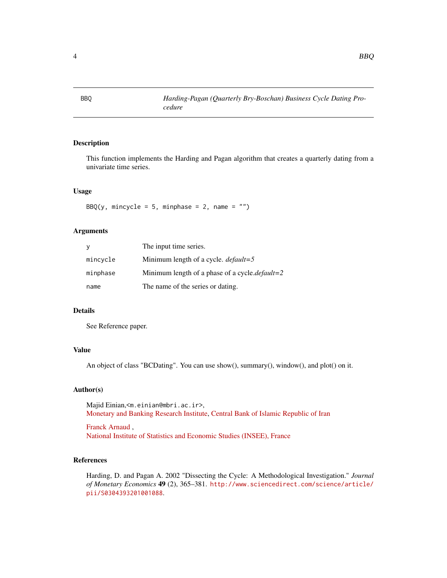<span id="page-3-1"></span><span id="page-3-0"></span>

# Description

This function implements the Harding and Pagan algorithm that creates a quarterly dating from a univariate time series.

#### Usage

BBQ(y, mincycle = 5, minphase = 2, name =  $"$ )

#### Arguments

| У        | The input time series.                                  |
|----------|---------------------------------------------------------|
| mincycle | Minimum length of a cycle. $default = 5$                |
| minphase | Minimum length of a phase of a cycle. <i>default</i> =2 |
| name     | The name of the series or dating.                       |

#### Details

See Reference paper.

# Value

An object of class "BCDating". You can use show(), summary(), window(), and plot() on it.

# Author(s)

Majid Einian,<m.einian@mbri.ac.ir>, [Monetary and Banking Research Institute,](http://www.mbri.ac.ir) [Central Bank of Islamic Republic of Iran](https://www.cbi.ir/)

[Franck Arnaud](http://arnaud.ensae.net) , [National Institute of Statistics and Economic Studies \(INSEE\), France](http://www.insee.fr/en/)

#### References

Harding, D. and Pagan A. 2002 "Dissecting the Cycle: A Methodological Investigation." *Journal of Monetary Economics* 49 (2), 365–381. [http://www.sciencedirect.com/science/article/](http://www.sciencedirect.com/science/article/pii/S0304393201001088) [pii/S0304393201001088](http://www.sciencedirect.com/science/article/pii/S0304393201001088).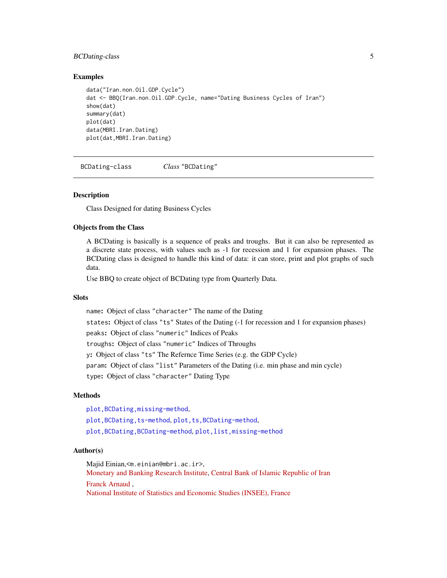# <span id="page-4-0"></span>BCDating-class 5

#### Examples

```
data("Iran.non.Oil.GDP.Cycle")
dat <- BBQ(Iran.non.Oil.GDP.Cycle, name="Dating Business Cycles of Iran")
show(dat)
summary(dat)
plot(dat)
data(MBRI.Iran.Dating)
plot(dat,MBRI.Iran.Dating)
```
BCDating-class *Class* "BCDating"

#### Description

Class Designed for dating Business Cycles

#### Objects from the Class

A BCDating is basically is a sequence of peaks and troughs. But it can also be represented as a discrete state process, with values such as -1 for recession and 1 for expansion phases. The BCDating class is designed to handle this kind of data: it can store, print and plot graphs of such data.

Use BBQ to create object of BCDating type from Quarterly Data.

#### **Slots**

name: Object of class "character" The name of the Dating states: Object of class "ts" States of the Dating (-1 for recession and 1 for expansion phases) peaks: Object of class "numeric" Indices of Peaks troughs: Object of class "numeric" Indices of Throughs y: Object of class "ts" The Refernce Time Series (e.g. the GDP Cycle) param: Object of class "list" Parameters of the Dating (i.e. min phase and min cycle) type: Object of class "character" Dating Type

#### Methods

[plot,BCDating,missing-method](#page-0-0),

plot, BCDating, ts-method, plot, ts, BCDating-method,

[plot,BCDating,BCDating-method](#page-0-0), [plot,list,missing-method](#page-0-0)

#### Author(s)

Majid Einian,<m.einian@mbri.ac.ir>, [Monetary and Banking Research Institute,](http://www.mbri.ac.ir) [Central Bank of Islamic Republic of Iran](https://www.cbi.ir/) [Franck Arnaud](http://arnaud.ensae.net) , [National Institute of Statistics and Economic Studies \(INSEE\), France](http://www.insee.fr/en/)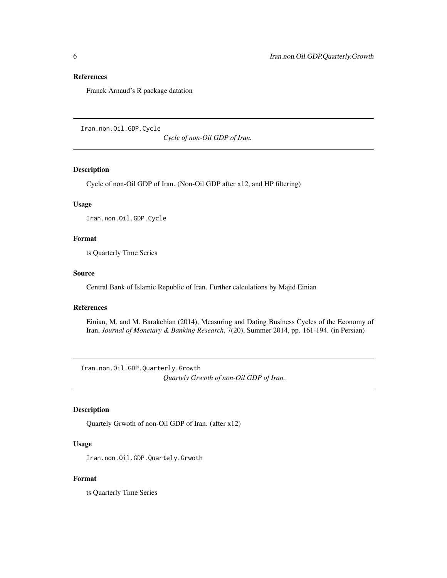#### <span id="page-5-0"></span>References

Franck Arnaud's R package datation

<span id="page-5-1"></span>Iran.non.Oil.GDP.Cycle

*Cycle of non-Oil GDP of Iran.*

# Description

Cycle of non-Oil GDP of Iran. (Non-Oil GDP after x12, and HP filtering)

# Usage

Iran.non.Oil.GDP.Cycle

#### Format

ts Quarterly Time Series

#### Source

Central Bank of Islamic Republic of Iran. Further calculations by Majid Einian

#### References

Einian, M. and M. Barakchian (2014), Measuring and Dating Business Cycles of the Economy of Iran, *Journal of Monetary & Banking Research*, 7(20), Summer 2014, pp. 161-194. (in Persian)

Iran.non.Oil.GDP.Quarterly.Growth *Quartely Grwoth of non-Oil GDP of Iran.*

# Description

Quartely Grwoth of non-Oil GDP of Iran. (after x12)

#### Usage

Iran.non.Oil.GDP.Quartely.Grwoth

#### Format

ts Quarterly Time Series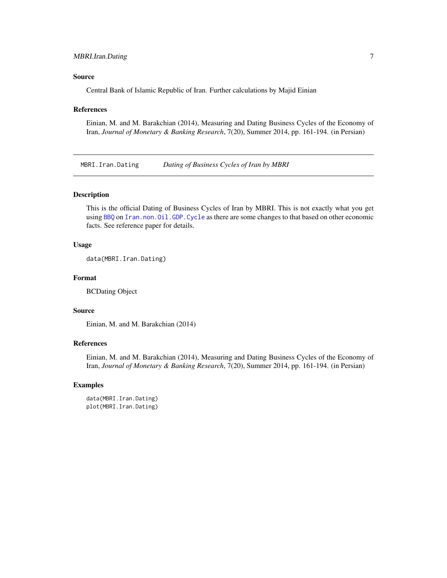# <span id="page-6-0"></span>MBRI.Iran.Dating 7

#### Source

Central Bank of Islamic Republic of Iran. Further calculations by Majid Einian

#### References

Einian, M. and M. Barakchian (2014), Measuring and Dating Business Cycles of the Economy of Iran, *Journal of Monetary & Banking Research*, 7(20), Summer 2014, pp. 161-194. (in Persian)

MBRI.Iran.Dating *Dating of Business Cycles of Iran by MBRI*

#### Description

This is the official Dating of Business Cycles of Iran by MBRI. This is not exactly what you get using [BBQ](#page-3-1) on [Iran.non.Oil.GDP.Cycle](#page-5-1) as there are some changes to that based on other economic facts. See reference paper for details.

# Usage

data(MBRI.Iran.Dating)

#### Format

BCDating Object

#### Source

Einian, M. and M. Barakchian (2014)

# References

Einian, M. and M. Barakchian (2014), Measuring and Dating Business Cycles of the Economy of Iran, *Journal of Monetary & Banking Research*, 7(20), Summer 2014, pp. 161-194. (in Persian)

# Examples

data(MBRI.Iran.Dating) plot(MBRI.Iran.Dating)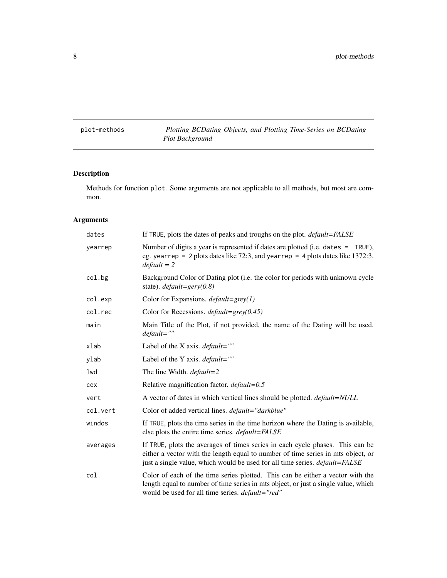<span id="page-7-0"></span>plot-methods *Plotting BCDating Objects, and Plotting Time-Series on BCDating Plot Background*

# Description

Methods for function plot. Some arguments are not applicable to all methods, but most are common.

# Arguments

| dates    | If TRUE, plots the dates of peaks and troughs on the plot. <i>default=FALSE</i>                                                                                                                                                                         |
|----------|---------------------------------------------------------------------------------------------------------------------------------------------------------------------------------------------------------------------------------------------------------|
| yearrep  | Number of digits a year is represented if dates are plotted (i.e. dates = TRUE),<br>eg. yearrep = $2$ plots dates like 72:3, and yearrep = $4$ plots dates like 1372:3.<br>$default = 2$                                                                |
| col.bg   | Background Color of Dating plot (i.e. the color for periods with unknown cycle<br>state). $default = gery(0.8)$                                                                                                                                         |
| col.exp  | Color for Expansions. $default = grey(1)$                                                                                                                                                                                                               |
| col.rec  | Color for Recessions. $default = grey(0.45)$                                                                                                                                                                                                            |
| main     | Main Title of the Plot, if not provided, the name of the Dating will be used.<br>$default="$                                                                                                                                                            |
| xlab     | Label of the X axis. $default="$                                                                                                                                                                                                                        |
| ylab     | Label of the Y axis. $default="$                                                                                                                                                                                                                        |
| lwd      | The line Width. <i>default=2</i>                                                                                                                                                                                                                        |
| cex      | Relative magnification factor. $default=0.5$                                                                                                                                                                                                            |
| vert     | A vector of dates in which vertical lines should be plotted. <i>default=NULL</i>                                                                                                                                                                        |
| col.vert | Color of added vertical lines. default="darkblue"                                                                                                                                                                                                       |
| windos   | If TRUE, plots the time series in the time horizon where the Dating is available,<br>else plots the entire time series. <i>default</i> =FALSE                                                                                                           |
| averages | If TRUE, plots the averages of times series in each cycle phases. This can be<br>either a vector with the length equal to number of time series in mts object, or<br>just a single value, which would be used for all time series. <i>default=FALSE</i> |
| col      | Color of each of the time series plotted. This can be either a vector with the<br>length equal to number of time series in mts object, or just a single value, which<br>would be used for all time series. default="red"                                |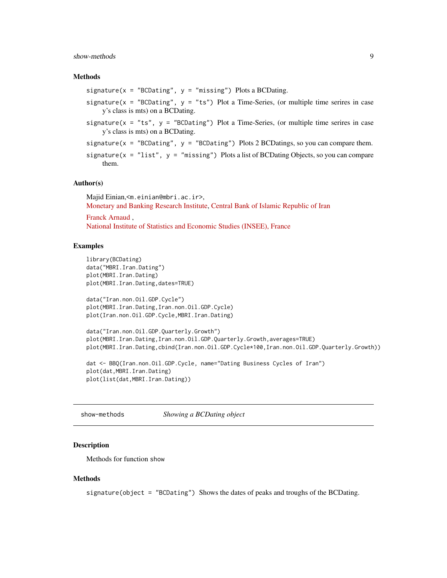#### <span id="page-8-0"></span>show-methods 9

#### **Methods**

```
signature(x = "BCDating", y = "missing") Plots a BCDating.
signature(x = "BCDating", y = "ts") Plot a Time-Series, (or multiple time serires in case
    y's class is mts) on a BCDating.
signature(x = "ts", y = "BCDating") Plot a Time-Series, (or multiple time serires in case
    y's class is mts) on a BCDating.
signature(x = "BCDating", y = "BCDating") Plots 2 BCDatings, so you can compare them.
signature(x = "list", y = "missing") Plots a list of BCDating Objects, so you can compare
```
#### Author(s)

them.

Majid Einian,<m.einian@mbri.ac.ir>, [Monetary and Banking Research Institute,](http://www.mbri.ac.ir) [Central Bank of Islamic Republic of Iran](http://www.cbi.ir) [Franck Arnaud](http://arnaud.ensae.net) ,

[National Institute of Statistics and Economic Studies \(INSEE\), France](http://www.insee.fr/en/)

#### Examples

```
library(BCDating)
data("MBRI.Iran.Dating")
plot(MBRI.Iran.Dating)
plot(MBRI.Iran.Dating,dates=TRUE)
data("Iran.non.Oil.GDP.Cycle")
plot(MBRI.Iran.Dating,Iran.non.Oil.GDP.Cycle)
plot(Iran.non.Oil.GDP.Cycle,MBRI.Iran.Dating)
data("Iran.non.Oil.GDP.Quarterly.Growth")
plot(MBRI.Iran.Dating,Iran.non.Oil.GDP.Quarterly.Growth,averages=TRUE)
plot(MBRI.Iran.Dating,cbind(Iran.non.Oil.GDP.Cycle*100,Iran.non.Oil.GDP.Quarterly.Growth))
dat <- BBQ(Iran.non.Oil.GDP.Cycle, name="Dating Business Cycles of Iran")
plot(dat,MBRI.Iran.Dating)
plot(list(dat,MBRI.Iran.Dating))
```
show-methods *Showing a BCDating object*

# **Description**

Methods for function show

#### Methods

signature(object = "BCDating") Shows the dates of peaks and troughs of the BCDating.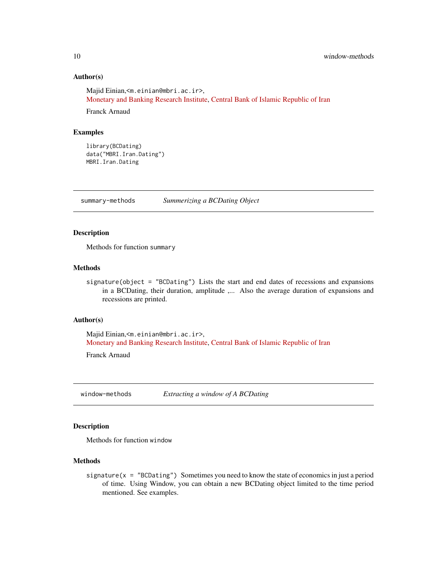#### Author(s)

Majid Einian,<m.einian@mbri.ac.ir>, [Monetary and Banking Research Institute,](http://www.mbri.ac.ir) [Central Bank of Islamic Republic of Iran](http://www.cbi.ir)

Franck Arnaud

#### Examples

```
library(BCDating)
data("MBRI.Iran.Dating")
MBRI.Iran.Dating
```
summary-methods *Summerizing a BCDating Object*

#### Description

Methods for function summary

#### Methods

signature(object = "BCDating") Lists the start and end dates of recessions and expansions in a BCDating, their duration, amplitude ,... Also the average duration of expansions and recessions are printed.

#### Author(s)

Majid Einian,<m.einian@mbri.ac.ir>, [Monetary and Banking Research Institute,](http://www.mbri.ac.ir) [Central Bank of Islamic Republic of Iran](http://www.cbi.ir)

Franck Arnaud

window-methods *Extracting a window of A BCDating*

# Description

Methods for function window

#### Methods

signature( $x =$  "BCDating") Sometimes you need to know the state of economics in just a period of time. Using Window, you can obtain a new BCDating object limited to the time period mentioned. See examples.

<span id="page-9-0"></span>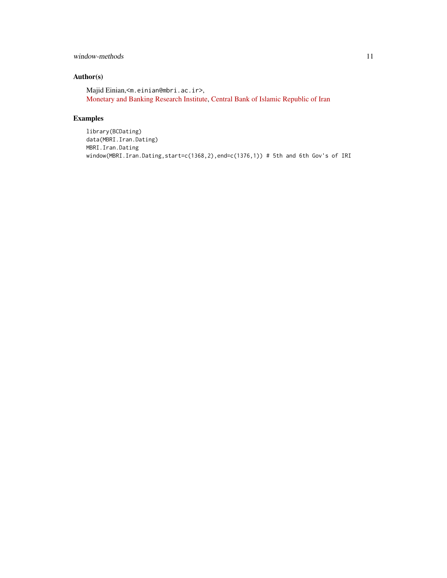# window-methods 11

# Author(s)

Majid Einian,<m.einian@mbri.ac.ir>, [Monetary and Banking Research Institute,](http://www.mbri.ac.ir) [Central Bank of Islamic Republic of Iran](http://www.cbi.ir)

# Examples

library(BCDating) data(MBRI.Iran.Dating) MBRI.Iran.Dating window(MBRI.Iran.Dating,start=c(1368,2),end=c(1376,1)) # 5th and 6th Gov's of IRI